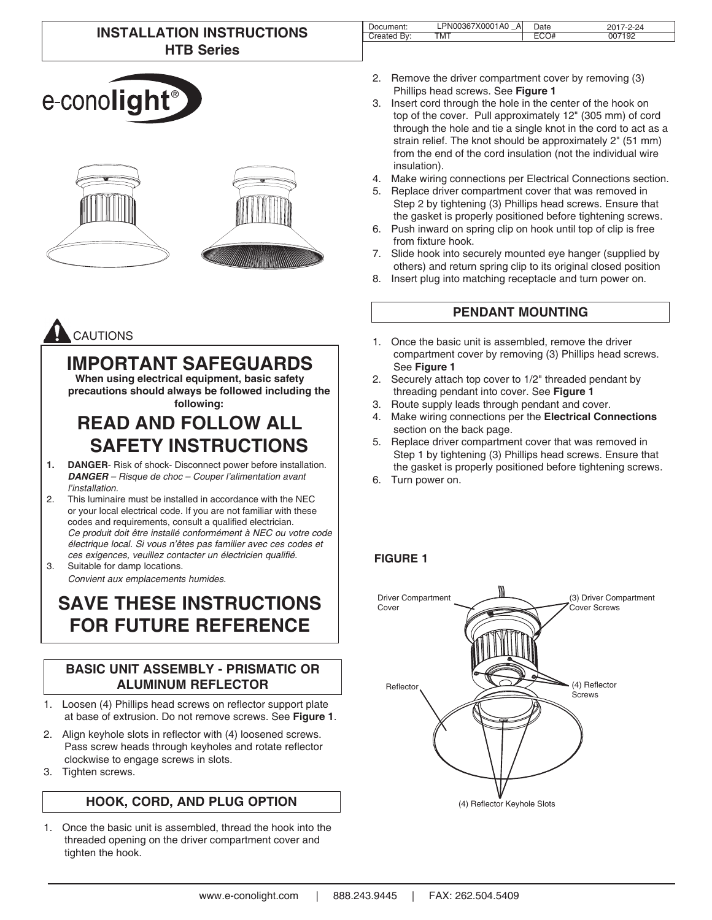## **INSTALLATION INSTRUCTIONS HTB Series**

| e-cono <b>light</b> <sup>®</sup> |  |
|----------------------------------|--|





# **IMPORTANT SAFEGUARDS**

**When using electrical equipment, basic safety precautions should always be followed including the following:**

# **READ AND FOLLOW ALL SAFETY INSTRUCTIONS**

- **1. DANGER** Risk of shock- Disconnect power before installation. *DANGER – Risque de choc – Couper l'alimentation avant l'installation.*
- 2. This luminaire must be installed in accordance with the NEC or your local electrical code. If you are not familiar with these codes and requirements, consult a qualified electrician. *Ce produit doit être installé conformément à NEC ou votre code électrique local. Si vous n'êtes pas familier avec ces codes et*  ces exigences, veuillez contacter un électricien qualifié.

3. Suitable for damp locations. *Convient aux emplacements humides.*

# **SAVE THESE INSTRUCTIONS FOR FUTURE REFERENCE**

### **BASIC UNIT ASSEMBLY - PRISMATIC OR ALUMINUM REFLECTOR**

- 1. Loosen (4) Phillips head screws on reflector support plate at base of extrusion. Do not remove screws. See **Figure 1**.
- 2. Align keyhole slots in reflector with (4) loosened screws. Pass screw heads through keyholes and rotate reflector clockwise to engage screws in slots.
- 3. Tighten screws.

## **HOOK, CORD, AND PLUG OPTION**

1. Once the basic unit is assembled, thread the hook into the threaded opening on the driver compartment cover and tighten the hook.

| Document:     | LPN00367X0001A0<br>Al | Date | $7 - 2 - 24$ |
|---------------|-----------------------|------|--------------|
| Bv:<br>reated | TMT                   |      | 7192         |
|               |                       |      |              |

- 2. Remove the driver compartment cover by removing (3) Phillips head screws. See **Figure 1**
- 3. Insert cord through the hole in the center of the hook on top of the cover. Pull approximately 12" (305 mm) of cord through the hole and tie a single knot in the cord to act as a strain relief. The knot should be approximately 2" (51 mm) from the end of the cord insulation (not the individual wire insulation).
- 4. Make wiring connections per Electrical Connections section.
- 5. Replace driver compartment cover that was removed in Step 2 by tightening (3) Phillips head screws. Ensure that the gasket is properly positioned before tightening screws.
- 6. Push inward on spring clip on hook until top of clip is free from fixture hook.
- 7. Slide hook into securely mounted eye hanger (supplied by others) and return spring clip to its original closed position
- 8. Insert plug into matching receptacle and turn power on.

## **PENDANT MOUNTING**

- 1. Once the basic unit is assembled, remove the driver compartment cover by removing (3) Phillips head screws. See **Figure 1**
- 2. Securely attach top cover to 1/2" threaded pendant by threading pendant into cover. See **Figure 1**
- 3. Route supply leads through pendant and cover.
- 4. Make wiring connections per the **Electrical Connections** section on the back page.
- 5. Replace driver compartment cover that was removed in Step 1 by tightening (3) Phillips head screws. Ensure that the gasket is properly positioned before tightening screws.
- 6. Turn power on.

## **FIGURE 1**